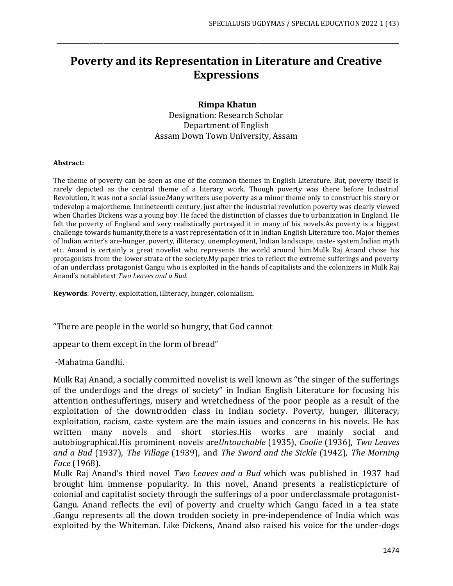## **Poverty and its Representation in Literature and Creative Expressions**

\_\_\_\_\_\_\_\_\_\_\_\_\_\_\_\_\_\_\_\_\_\_\_\_\_\_\_\_\_\_\_\_\_\_\_\_\_\_\_\_\_\_\_\_\_\_\_\_\_\_\_\_\_\_\_\_\_\_\_\_\_\_\_\_\_\_\_\_\_\_\_\_\_\_\_\_\_\_\_\_\_\_\_\_\_\_\_\_\_\_\_\_\_\_\_\_\_\_\_\_\_\_\_\_\_\_\_\_\_\_\_\_\_\_\_\_\_\_\_\_\_\_\_\_\_

## **Rimpa Khatun**

Designation: Research Scholar Department of English Assam Down Town University, Assam

## **Abstract:**

The theme of poverty can be seen as one of the common themes in English Literature. But, poverty itself is rarely depicted as the central theme of a literary work. Though poverty was there before Industrial Revolution, it was not a social issue.Many writers use poverty as a minor theme only to construct his story or todevelop a majortheme. Innineteenth century, just after the industrial revolution poverty was clearly viewed when Charles Dickens was a young boy. He faced the distinction of classes due to urbanization in England. He felt the poverty of England and very realistically portrayed it in many of his novels.As poverty is a biggest challenge towards humanity,there is a vast representation of it in Indian English Literature too. Major themes of Indian writer's are-hunger, poverty, illiteracy, unemployment, Indian landscape, caste- system,Indian myth etc. Anand is certainly a great novelist who represents the world around him.Mulk Raj Anand chose his protagonists from the lower strata of the society.My paper tries to reflect the extreme sufferings and poverty of an underclass protagonist Gangu who is exploited in the hands of capitalists and the colonizers in Mulk Raj Anand's notabletext *Two Leaves and a Bud.*

**Keywords**: Poverty, exploitation, illiteracy, hunger, colonialism.

"There are people in the world so hungry, that God cannot

appear to them except in the form of bread"

-Mahatma Gandhi.

Mulk Raj Anand, a socially committed novelist is well known as "the singer of the sufferings of the underdogs and the dregs of society" in Indian English Literature for focusing his attention onthesufferings, misery and wretchedness of the poor people as a result of the exploitation of the downtrodden class in Indian society. Poverty, hunger, illiteracy, exploitation, racism, caste system are the main issues and concerns in his novels. He has written many novels and short stories.His works are mainly social and autobiographical.His prominent novels are*Untouchable* (1935), *Coolie* (1936), *Two Leaves and a Bud* (1937), *The Village* (1939), and *The Sword and the Sickle* (1942), *The Morning Face* (1968).

Mulk Raj Anand's third novel *Two Leaves and a Bud* which was published in 1937 had brought him immense popularity. In this novel, Anand presents a realisticpicture of colonial and capitalist society through the sufferings of a poor underclassmale protagonist-Gangu. Anand reflects the evil of poverty and cruelty which Gangu faced in a tea state .Gangu represents all the down trodden society in pre-independence of India which was exploited by the Whiteman. Like Dickens, Anand also raised his voice for the under-dogs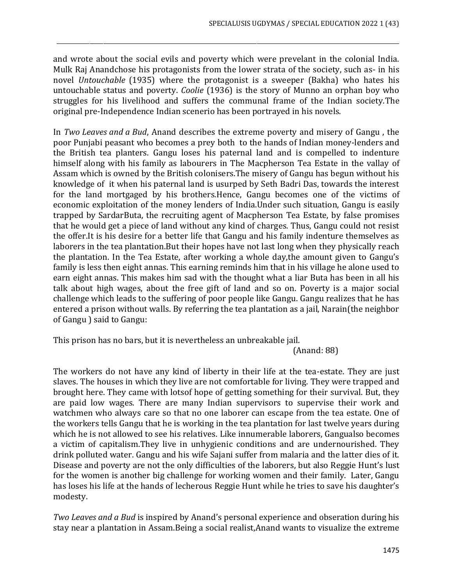and wrote about the social evils and poverty which were prevelant in the colonial India. Mulk Raj Anandchose his protagonists from the lower strata of the society, such as- in his novel *Untouchable* (1935) where the protagonist is a sweeper (Bakha) who hates his untouchable status and poverty. *Coolie* (1936) is the story of Munno an orphan boy who struggles for his livelihood and suffers the communal frame of the Indian society.The original pre-Independence Indian scenerio has been portrayed in his novels.

\_\_\_\_\_\_\_\_\_\_\_\_\_\_\_\_\_\_\_\_\_\_\_\_\_\_\_\_\_\_\_\_\_\_\_\_\_\_\_\_\_\_\_\_\_\_\_\_\_\_\_\_\_\_\_\_\_\_\_\_\_\_\_\_\_\_\_\_\_\_\_\_\_\_\_\_\_\_\_\_\_\_\_\_\_\_\_\_\_\_\_\_\_\_\_\_\_\_\_\_\_\_\_\_\_\_\_\_\_\_\_\_\_\_\_\_\_\_\_\_\_\_\_\_\_

In *Two Leaves and a Bud*, Anand describes the extreme poverty and misery of Gangu , the poor Punjabi peasant who becomes a prey both to the hands of Indian money-lenders and the British tea planters. Gangu loses his paternal land and is compelled to indenture himself along with his family as labourers in The Macpherson Tea Estate in the vallay of Assam which is owned by the British colonisers.The misery of Gangu has begun without his knowledge of it when his paternal land is usurped by Seth Badri Das, towards the interest for the land mortgaged by his brothers.Hence, Gangu becomes one of the victims of economic exploitation of the money lenders of India.Under such situation, Gangu is easily trapped by SardarButa, the recruiting agent of Macpherson Tea Estate, by false promises that he would get a piece of land without any kind of charges. Thus, Gangu could not resist the offer.It is his desire for a better life that Gangu and his family indenture themselves as laborers in the tea plantation.But their hopes have not last long when they physically reach the plantation. In the Tea Estate, after working a whole day,the amount given to Gangu's family is less then eight annas. This earning reminds him that in his village he alone used to earn eight annas. This makes him sad with the thought what a liar Buta has been in all his talk about high wages, about the free gift of land and so on. Poverty is a major social challenge which leads to the suffering of poor people like Gangu. Gangu realizes that he has entered a prison without walls. By referring the tea plantation as a jail, Narain(the neighbor of Gangu ) said to Gangu:

This prison has no bars, but it is nevertheless an unbreakable jail.

(Anand: 88)

The workers do not have any kind of liberty in their life at the tea-estate. They are just slaves. The houses in which they live are not comfortable for living. They were trapped and brought here. They came with lotsof hope of getting something for their survival. But, they are paid low wages. There are many Indian supervisors to supervise their work and watchmen who always care so that no one laborer can escape from the tea estate. One of the workers tells Gangu that he is working in the tea plantation for last twelve years during which he is not allowed to see his relatives. Like innumerable laborers, Gangualso becomes a victim of capitalism.They live in unhygienic conditions and are undernourished. They drink polluted water. Gangu and his wife Sajani suffer from malaria and the latter dies of it. Disease and poverty are not the only difficulties of the laborers, but also Reggie Hunt's lust for the women is another big challenge for working women and their family. Later, Gangu has loses his life at the hands of lecherous Reggie Hunt while he tries to save his daughter's modesty.

*Two Leaves and a Bud* is inspired by Anand's personal experience and obseration during his stay near a plantation in Assam.Being a social realist,Anand wants to visualize the extreme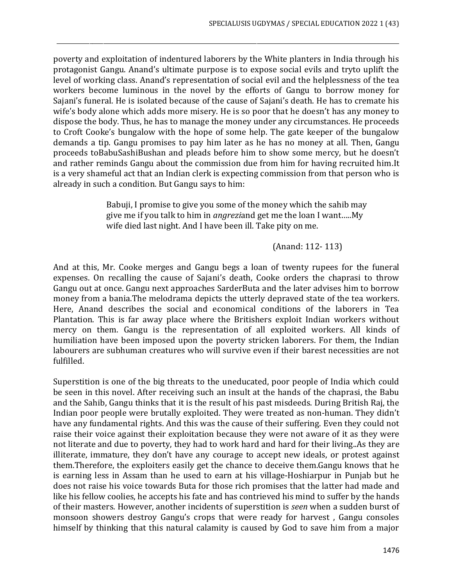poverty and exploitation of indentured laborers by the White planters in India through his protagonist Gangu. Anand's ultimate purpose is to expose social evils and tryto uplift the level of working class. Anand's representation of social evil and the helplessness of the tea workers become luminous in the novel by the efforts of Gangu to borrow money for Sajani's funeral. He is isolated because of the cause of Sajani's death. He has to cremate his wife's body alone which adds more misery. He is so poor that he doesn't has any money to dispose the body. Thus, he has to manage the money under any circumstances. He proceeds to Croft Cooke's bungalow with the hope of some help. The gate keeper of the bungalow demands a tip. Gangu promises to pay him later as he has no money at all. Then, Gangu proceeds toBabuSashiBushan and pleads before him to show some mercy, but he doesn't and rather reminds Gangu about the commission due from him for having recruited him.It is a very shameful act that an Indian clerk is expecting commission from that person who is already in such a condition. But Gangu says to him:

\_\_\_\_\_\_\_\_\_\_\_\_\_\_\_\_\_\_\_\_\_\_\_\_\_\_\_\_\_\_\_\_\_\_\_\_\_\_\_\_\_\_\_\_\_\_\_\_\_\_\_\_\_\_\_\_\_\_\_\_\_\_\_\_\_\_\_\_\_\_\_\_\_\_\_\_\_\_\_\_\_\_\_\_\_\_\_\_\_\_\_\_\_\_\_\_\_\_\_\_\_\_\_\_\_\_\_\_\_\_\_\_\_\_\_\_\_\_\_\_\_\_\_\_\_

Babuji, I promise to give you some of the money which the sahib may give me if you talk to him in *angrezi*and get me the loan I want…..My wife died last night. And I have been ill. Take pity on me.

(Anand: 112- 113)

And at this, Mr. Cooke merges and Gangu begs a loan of twenty rupees for the funeral expenses. On recalling the cause of Sajani's death, Cooke orders the chaprasi to throw Gangu out at once. Gangu next approaches SarderButa and the later advises him to borrow money from a bania.The melodrama depicts the utterly depraved state of the tea workers. Here, Anand describes the social and economical conditions of the laborers in Tea Plantation. This is far away place where the Britishers exploit Indian workers without mercy on them. Gangu is the representation of all exploited workers. All kinds of humiliation have been imposed upon the poverty stricken laborers. For them, the Indian labourers are subhuman creatures who will survive even if their barest necessities are not fulfilled.

Superstition is one of the big threats to the uneducated, poor people of India which could be seen in this novel. After receiving such an insult at the hands of the chaprasi, the Babu and the Sahib, Gangu thinks that it is the result of his past misdeeds. During British Raj, the Indian poor people were brutally exploited. They were treated as non-human. They didn't have any fundamental rights. And this was the cause of their suffering. Even they could not raise their voice against their exploitation because they were not aware of it as they were not literate and due to poverty, they had to work hard and hard for their living..As they are illiterate, immature, they don't have any courage to accept new ideals, or protest against them.Therefore, the exploiters easily get the chance to deceive them.Gangu knows that he is earning less in Assam than he used to earn at his village-Hoshiarpur in Punjab but he does not raise his voice towards Buta for those rich promises that the latter had made and like his fellow coolies, he accepts his fate and has contrieved his mind to suffer by the hands of their masters. However, another incidents of superstition is *seen* when a sudden burst of monsoon showers destroy Gangu's crops that were ready for harvest , Gangu consoles himself by thinking that this natural calamity is caused by God to save him from a major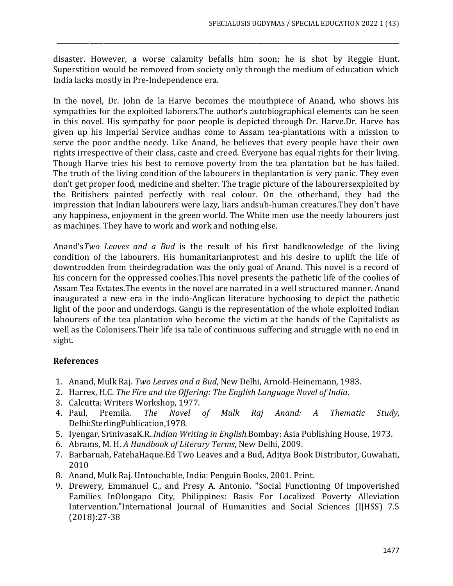disaster. However, a worse calamity befalls him soon; he is shot by Reggie Hunt. Superstition would be removed from society only through the medium of education which India lacks mostly in Pre-Independence era.

\_\_\_\_\_\_\_\_\_\_\_\_\_\_\_\_\_\_\_\_\_\_\_\_\_\_\_\_\_\_\_\_\_\_\_\_\_\_\_\_\_\_\_\_\_\_\_\_\_\_\_\_\_\_\_\_\_\_\_\_\_\_\_\_\_\_\_\_\_\_\_\_\_\_\_\_\_\_\_\_\_\_\_\_\_\_\_\_\_\_\_\_\_\_\_\_\_\_\_\_\_\_\_\_\_\_\_\_\_\_\_\_\_\_\_\_\_\_\_\_\_\_\_\_\_

In the novel, Dr. John de la Harve becomes the mouthpiece of Anand, who shows his sympathies for the exploited laborers.The author's autobiographical elements can be seen in this novel. His sympathy for poor people is depicted through Dr. Harve.Dr. Harve has given up his Imperial Service andhas come to Assam tea-plantations with a mission to serve the poor andthe needy. Like Anand, he believes that every people have their own rights irrespective of their class, caste and creed. Everyone has equal rights for their living. Though Harve tries his best to remove poverty from the tea plantation but he has failed. The truth of the living condition of the labourers in theplantation is very panic. They even don't get proper food, medicine and shelter. The tragic picture of the labourersexploited by the Britishers painted perfectly with real colour. On the otherhand, they had the impression that Indian labourers were lazy, liars andsub-human creatures.They don't have any happiness, enjoyment in the green world. The White men use the needy labourers just as machines. They have to work and work and nothing else.

Anand's*Two Leaves and a Bud* is the result of his first handknowledge of the living condition of the labourers. His humanitarianprotest and his desire to uplift the life of downtrodden from theirdegradation was the only goal of Anand. This novel is a record of his concern for the oppressed coolies.This novel presents the pathetic life of the coolies of Assam Tea Estates.The events in the novel are narrated in a well structured manner. Anand inaugurated a new era in the indo-Anglican literature bychoosing to depict the pathetic light of the poor and underdogs. Gangu is the representation of the whole exploited Indian labourers of the tea plantation who become the victim at the hands of the Capitalists as well as the Colonisers.Their life isa tale of continuous suffering and struggle with no end in sight.

## **References**

- 1. Anand, Mulk Raj. *Two Leaves and a Bud*, New Delhi, Arnold-Heinemann, 1983.
- 2. Harrex, H.C. *The Fire and the Offering: The English Language Novel of India*.
- 3. Calcutta: Writers Workshop, 1977.
- 4. Paul, Premila. *The Novel of Mulk Raj Anand: A Thematic Study*, Delhi:SterlingPublication,1978.
- 5. Iyengar, SrinivasaK.R*..Indian Writing in English.*Bombay: Asia Publishing House, 1973.
- 6. Abrams, M. H. *A Handbook of Literary Terms*, New Delhi, 2009.
- 7. Barbaruah, FatehaHaque.Ed Two Leaves and a Bud, Aditya Book Distributor, Guwahati, 2010
- 8. Anand, Mulk Raj. Untouchable, India: Penguin Books, 2001. Print.
- 9. Drewery, Emmanuel C., and Presy A. Antonio. "Social Functioning Of Impoverished Families InOlongapo City, Philippines: Basis For Localized Poverty Alleviation Intervention."International Journal of Humanities and Social Sciences (IJHSS) 7.5 (2018):27-38